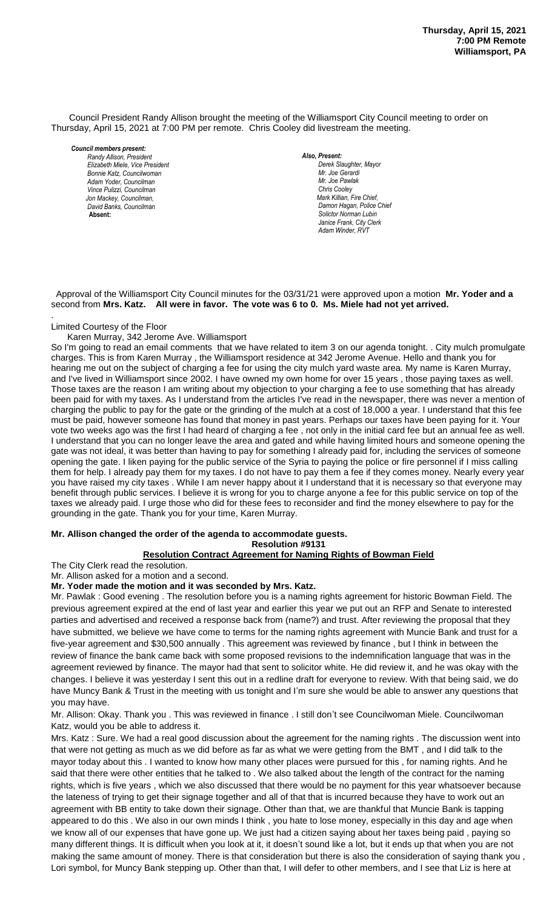Council President Randy Allison brought the meeting of the Williamsport City Council meeting to order on Thursday, April 15, 2021 at 7:00 PM per remote. Chris Cooley did livestream the meeting.

#### *Council members present:*

*Randy Allison, President , President Elizabeth Miele, Vice President Bill Hall, Councilman Bonnie Katz, Councilwoman Adam Yoder, Councilman Vince Pulizzi, Councilman Jon Mackey, Councilman, David Banks, Councilman*  **Absent:** 

#### *Also, Present:*

*Derek Slaughter, Mayor Mr. Joe Gerardi Mr. Joseph Pawlak Mr. Joe Pawlak Chris Cooley Mark Killian, Fire Chief,* Damon Hagan, Police Chief *Solictor Norman Lubin Janice Frank, City Clerk Adam Winder, RVT* 

### Approval of the Williamsport City Council minutes for the 03/31/21 were approved upon a motion **Mr. Yoder and a** second from Mrs. Katz. All were in favor. The vote was 6 to 0. Ms. Miele had not yet arrived.

### Limited Courtesy of the Floor

.

## Karen Murray, 342 Jerome Ave. Williamsport

So I'm going to read an email comments that we have related to item 3 on our agenda tonight. . City mulch promulgate charges. This is from Karen Murray , the Williamsport residence at 342 Jerome Avenue. Hello and thank you for *Dave Young, Police Chief Chief Heinbach absent* onarges. This is non-riatent marray, the williamsport residence at 042 servine Awender. Hello and thank you for<br>hearing me out on the subject of charging a fee for using the city mulch yard waste area. My name is Karen Mur and I've lived in Williamsport since 2002. I have owned my own home for over 15 years, those paying taxes as well. Those taxes are the reason I am writing about my objection to your charging a fee to use something that has already been paid for with my taxes. As I understand from the articles I've read in the newspaper, there was never a mention of charging the public to pay for the gate or the grinding of the mulch at a cost of 18,000 a year. I understand that this fee must be paid, however someone has found that money in past years. Perhaps our taxes have been paying for it. Your vote two weeks ago was the first I had heard of charging a fee , not only in the initial card fee but an annual fee as well. I understand that you can no longer leave the area and gated and while having limited hours and someone opening the gate was not ideal, it was better than having to pay for something I already paid for, including the services of someone *Members of News Media* opening the gate. I liken paying for the public service of the Syria to paying the police or fire personnel if I miss calling them for help. I already pay them for my taxes. I do not have to pay them a fee if they comes money. Nearly every year you have raised my city taxes . While I am never happy about it I understand that it is necessary so that everyone may benefit through public services. I believe it is wrong for you to charge anyone a fee for this public service on top of the taxes we already paid. I urge those who did for these fees to reconsider and find the money elsewhere to pay for the grounding in the gate. Thank you for your time, Karen Murray. *Janice Frank, City Clerk, absent Members of the news media*

# **Mr. Allison changed the order of the agenda to accommodate guests.**

# **Resolution #9131**

# **Resolution Contract Agreement for Naming Rights of Bowman Field**

The City Clerk read the resolution.

Mr. Allison asked for a motion and a second.

### **Mr. Yoder made the motion and it was seconded by Mrs. Katz.**

Mr. Pawlak : Good evening . The resolution before you is a naming rights agreement for historic Bowman Field. The previous agreement expired at the end of last year and earlier this year we put out an RFP and Senate to interested parties and advertised and received a response back from (name?) and trust. After reviewing the proposal that they have submitted, we believe we have come to terms for the naming rights agreement with Muncie Bank and trust for a five-year agreement and \$30,500 annually . This agreement was reviewed by finance , but I think in between the review of finance the bank came back with some proposed revisions to the indemnification language that was in the agreement reviewed by finance. The mayor had that sent to solicitor white. He did review it, and he was okay with the changes. I believe it was yesterday I sent this out in a redline draft for everyone to review. With that being said, we do have Muncy Bank & Trust in the meeting with us tonight and I'm sure she would be able to answer any questions that you may have.

Mr. Allison: Okay. Thank you . This was reviewed in finance . I still don't see Councilwoman Miele. Councilwoman Katz, would you be able to address it.

Mrs. Katz : Sure. We had a real good discussion about the agreement for the naming rights . The discussion went into that were not getting as much as we did before as far as what we were getting from the BMT , and I did talk to the mayor today about this . I wanted to know how many other places were pursued for this , for naming rights. And he said that there were other entities that he talked to . We also talked about the length of the contract for the naming rights, which is five years , which we also discussed that there would be no payment for this year whatsoever because the lateness of trying to get their signage together and all of that that is incurred because they have to work out an agreement with BB entity to take down their signage. Other than that, we are thankful that Muncie Bank is tapping appeared to do this . We also in our own minds I think , you hate to lose money, especially in this day and age when we know all of our expenses that have gone up. We just had a citizen saying about her taxes being paid , paying so many different things. It is difficult when you look at it, it doesn't sound like a lot, but it ends up that when you are not making the same amount of money. There is that consideration but there is also the consideration of saying thank you , Lori symbol, for Muncy Bank stepping up. Other than that, I will defer to other members, and I see that Liz is here at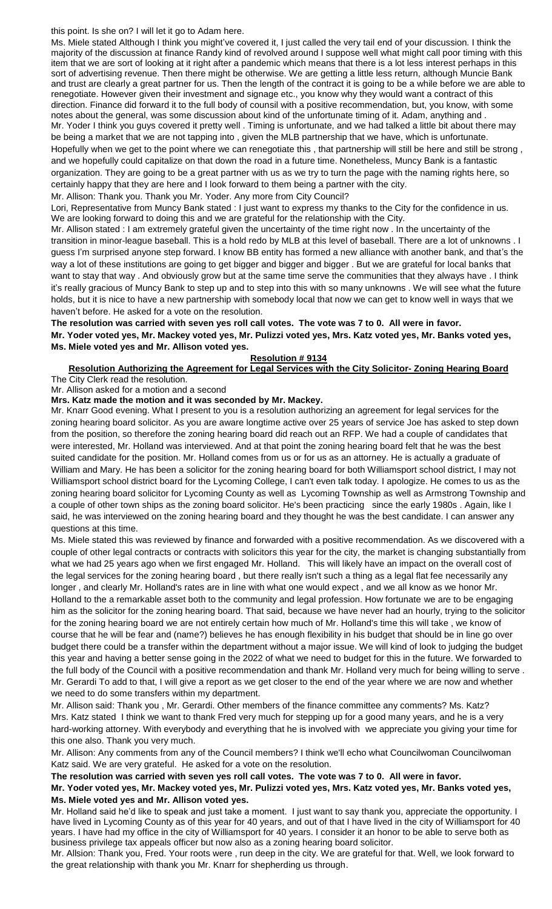this point. Is she on? I will let it go to Adam here.

Ms. Miele stated Although I think you might've covered it, I just called the very tail end of your discussion. I think the majority of the discussion at finance Randy kind of revolved around I suppose well what might call poor timing with this item that we are sort of looking at it right after a pandemic which means that there is a lot less interest perhaps in this sort of advertising revenue. Then there might be otherwise. We are getting a little less return, although Muncie Bank and trust are clearly a great partner for us. Then the length of the contract it is going to be a while before we are able to renegotiate. However given their investment and signage etc., you know why they would want a contract of this direction. Finance did forward it to the full body of counsil with a positive recommendation, but, you know, with some notes about the general, was some discussion about kind of the unfortunate timing of it. Adam, anything and . Mr. Yoder I think you guys covered it pretty well . Timing is unfortunate, and we had talked a little bit about there may be being a market that we are not tapping into , given the MLB partnership that we have, which is unfortunate. Hopefully when we get to the point where we can renegotiate this , that partnership will still be here and still be strong , and we hopefully could capitalize on that down the road in a future time. Nonetheless, Muncy Bank is a fantastic organization. They are going to be a great partner with us as we try to turn the page with the naming rights here, so certainly happy that they are here and I look forward to them being a partner with the city.

Mr. Allison: Thank you. Thank you Mr. Yoder. Any more from City Council?

Lori, Representative from Muncy Bank stated : I just want to express my thanks to the City for the confidence in us. We are looking forward to doing this and we are grateful for the relationship with the City.

Mr. Allison stated : I am extremely grateful given the uncertainty of the time right now . In the uncertainty of the transition in minor-league baseball. This is a hold redo by MLB at this level of baseball. There are a lot of unknowns . I guess I'm surprised anyone step forward. I know BB entity has formed a new alliance with another bank, and that's the way a lot of these institutions are going to get bigger and bigger and bigger . But we are grateful for local banks that want to stay that way . And obviously grow but at the same time serve the communities that they always have . I think it's really gracious of Muncy Bank to step up and to step into this with so many unknowns . We will see what the future holds, but it is nice to have a new partnership with somebody local that now we can get to know well in ways that we haven't before. He asked for a vote on the resolution.

# **The resolution was carried with seven yes roll call votes. The vote was 7 to 0. All were in favor. Mr. Yoder voted yes, Mr. Mackey voted yes, Mr. Pulizzi voted yes, Mrs. Katz voted yes, Mr. Banks voted yes, Ms. Miele voted yes and Mr. Allison voted yes.**

# **Resolution # 9134**

**Resolution Authorizing the Agreement for Legal Services with the City Solicitor- Zoning Hearing Board** The City Clerk read the resolution.

Mr. Allison asked for a motion and a second

**Mrs. Katz made the motion and it was seconded by Mr. Mackey.** 

Mr. Knarr Good evening. What I present to you is a resolution authorizing an agreement for legal services for the zoning hearing board solicitor. As you are aware longtime active over 25 years of service Joe has asked to step down from the position, so therefore the zoning hearing board did reach out an RFP. We had a couple of candidates that were interested, Mr. Holland was interviewed. And at that point the zoning hearing board felt that he was the best suited candidate for the position. Mr. Holland comes from us or for us as an attorney. He is actually a graduate of William and Mary. He has been a solicitor for the zoning hearing board for both Williamsport school district, I may not Williamsport school district board for the Lycoming College, I can't even talk today. I apologize. He comes to us as the zoning hearing board solicitor for Lycoming County as well as Lycoming Township as well as Armstrong Township and a couple of other town ships as the zoning board solicitor. He's been practicing since the early 1980s . Again, like I said, he was interviewed on the zoning hearing board and they thought he was the best candidate. I can answer any questions at this time.

Ms. Miele stated this was reviewed by finance and forwarded with a positive recommendation. As we discovered with a couple of other legal contracts or contracts with solicitors this year for the city, the market is changing substantially from what we had 25 years ago when we first engaged Mr. Holland. This will likely have an impact on the overall cost of the legal services for the zoning hearing board , but there really isn't such a thing as a legal flat fee necessarily any longer , and clearly Mr. Holland's rates are in line with what one would expect , and we all know as we honor Mr. Holland to the a remarkable asset both to the community and legal profession. How fortunate we are to be engaging him as the solicitor for the zoning hearing board. That said, because we have never had an hourly, trying to the solicitor for the zoning hearing board we are not entirely certain how much of Mr. Holland's time this will take , we know of course that he will be fear and (name?) believes he has enough flexibility in his budget that should be in line go over budget there could be a transfer within the department without a major issue. We will kind of look to judging the budget this year and having a better sense going in the 2022 of what we need to budget for this in the future. We forwarded to the full body of the Council with a positive recommendation and thank Mr. Holland very much for being willing to serve . Mr. Gerardi To add to that, I will give a report as we get closer to the end of the year where we are now and whether we need to do some transfers within my department.

Mr. Allison said: Thank you , Mr. Gerardi. Other members of the finance committee any comments? Ms. Katz? Mrs. Katz stated I think we want to thank Fred very much for stepping up for a good many years, and he is a very hard-working attorney. With everybody and everything that he is involved with we appreciate you giving your time for this one also. Thank you very much.

Mr. Allison: Any comments from any of the Council members? I think we'll echo what Councilwoman Councilwoman Katz said. We are very grateful. He asked for a vote on the resolution.

### **The resolution was carried with seven yes roll call votes. The vote was 7 to 0. All were in favor.**

# **Mr. Yoder voted yes, Mr. Mackey voted yes, Mr. Pulizzi voted yes, Mrs. Katz voted yes, Mr. Banks voted yes, Ms. Miele voted yes and Mr. Allison voted yes.**

Mr. Holland said he'd like to speak and just take a moment. I just want to say thank you, appreciate the opportunity. I have lived in Lycoming County as of this year for 40 years, and out of that I have lived in the city of Williamsport for 40 years. I have had my office in the city of Williamsport for 40 years. I consider it an honor to be able to serve both as business privilege tax appeals officer but now also as a zoning hearing board solicitor.

Mr. Allsion: Thank you, Fred. Your roots were , run deep in the city. We are grateful for that. Well, we look forward to the great relationship with thank you Mr. Knarr for shepherding us through.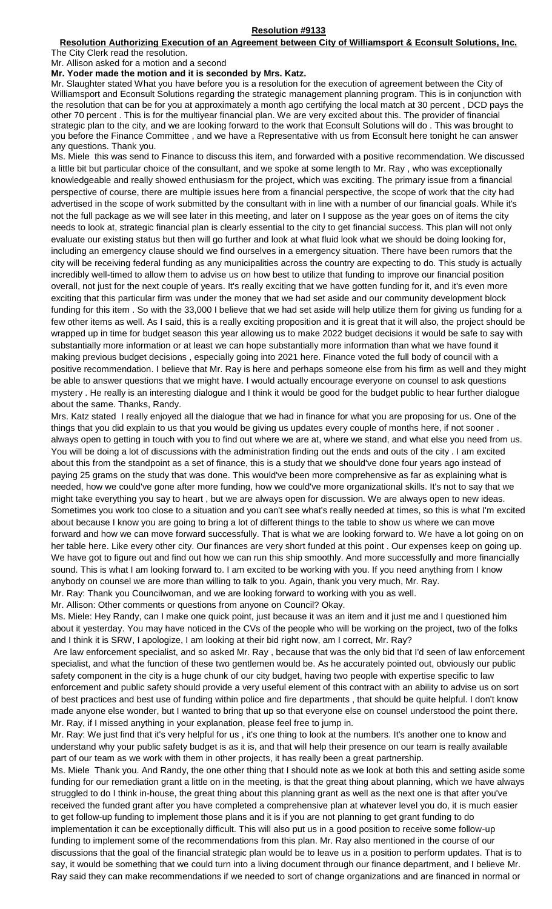#### **Resolution #9133**

# **Resolution Authorizing Execution of an Agreement between City of Williamsport & Econsult Solutions, Inc.**

The City Clerk read the resolution. Mr. Allison asked for a motion and a second

# **Mr. Yoder made the motion and it is seconded by Mrs. Katz.**

Mr. Slaughter stated What you have before you is a resolution for the execution of agreement between the City of Williamsport and Econsult Solutions regarding the strategic management planning program. This is in conjunction with the resolution that can be for you at approximately a month ago certifying the local match at 30 percent , DCD pays the other 70 percent . This is for the multiyear financial plan. We are very excited about this. The provider of financial strategic plan to the city, and we are looking forward to the work that Econsult Solutions will do . This was brought to you before the Finance Committee , and we have a Representative with us from Econsult here tonight he can answer any questions. Thank you.

Ms. Miele this was send to Finance to discuss this item, and forwarded with a positive recommendation. We discussed a little bit but particular choice of the consultant, and we spoke at some length to Mr. Ray , who was exceptionally knowledgeable and really showed enthusiasm for the project, which was exciting. The primary issue from a financial perspective of course, there are multiple issues here from a financial perspective, the scope of work that the city had advertised in the scope of work submitted by the consultant with in line with a number of our financial goals. While it's not the full package as we will see later in this meeting, and later on I suppose as the year goes on of items the city needs to look at, strategic financial plan is clearly essential to the city to get financial success. This plan will not only evaluate our existing status but then will go further and look at what fluid look what we should be doing looking for, including an emergency clause should we find ourselves in a emergency situation. There have been rumors that the city will be receiving federal funding as any municipalities across the country are expecting to do. This study is actually incredibly well-timed to allow them to advise us on how best to utilize that funding to improve our financial position overall, not just for the next couple of years. It's really exciting that we have gotten funding for it, and it's even more exciting that this particular firm was under the money that we had set aside and our community development block funding for this item . So with the 33,000 I believe that we had set aside will help utilize them for giving us funding for a few other items as well. As I said, this is a really exciting proposition and it is great that it will also, the project should be wrapped up in time for budget season this year allowing us to make 2022 budget decisions it would be safe to say with substantially more information or at least we can hope substantially more information than what we have found it making previous budget decisions , especially going into 2021 here. Finance voted the full body of council with a positive recommendation. I believe that Mr. Ray is here and perhaps someone else from his firm as well and they might be able to answer questions that we might have. I would actually encourage everyone on counsel to ask questions mystery . He really is an interesting dialogue and I think it would be good for the budget public to hear further dialogue about the same. Thanks, Randy.

Mrs. Katz stated I really enjoyed all the dialogue that we had in finance for what you are proposing for us. One of the things that you did explain to us that you would be giving us updates every couple of months here, if not sooner . always open to getting in touch with you to find out where we are at, where we stand, and what else you need from us. You will be doing a lot of discussions with the administration finding out the ends and outs of the city . I am excited about this from the standpoint as a set of finance, this is a study that we should've done four years ago instead of paying 25 grams on the study that was done. This would've been more comprehensive as far as explaining what is needed, how we could've gone after more funding, how we could've more organizational skills. It's not to say that we might take everything you say to heart , but we are always open for discussion. We are always open to new ideas. Sometimes you work too close to a situation and you can't see what's really needed at times, so this is what I'm excited about because I know you are going to bring a lot of different things to the table to show us where we can move forward and how we can move forward successfully. That is what we are looking forward to. We have a lot going on on her table here. Like every other city. Our finances are very short funded at this point . Our expenses keep on going up. We have got to figure out and find out how we can run this ship smoothly. And more successfully and more financially sound. This is what I am looking forward to. I am excited to be working with you. If you need anything from I know anybody on counsel we are more than willing to talk to you. Again, thank you very much, Mr. Ray.

Mr. Ray: Thank you Councilwoman, and we are looking forward to working with you as well.

Mr. Allison: Other comments or questions from anyone on Council? Okay.

Ms. Miele: Hey Randy, can I make one quick point, just because it was an item and it just me and I questioned him about it yesterday. You may have noticed in the CVs of the people who will be working on the project, two of the folks and I think it is SRW, I apologize, I am looking at their bid right now, am I correct, Mr. Ray?

Are law enforcement specialist, and so asked Mr. Ray , because that was the only bid that I'd seen of law enforcement specialist, and what the function of these two gentlemen would be. As he accurately pointed out, obviously our public safety component in the city is a huge chunk of our city budget, having two people with expertise specific to law enforcement and public safety should provide a very useful element of this contract with an ability to advise us on sort of best practices and best use of funding within police and fire departments , that should be quite helpful. I don't know made anyone else wonder, but I wanted to bring that up so that everyone else on counsel understood the point there. Mr. Ray, if I missed anything in your explanation, please feel free to jump in.

Mr. Ray: We just find that it's very helpful for us , it's one thing to look at the numbers. It's another one to know and understand why your public safety budget is as it is, and that will help their presence on our team is really available part of our team as we work with them in other projects, it has really been a great partnership.

Ms. Miele Thank you. And Randy, the one other thing that I should note as we look at both this and setting aside some funding for our remediation grant a little on in the meeting, is that the great thing about planning, which we have always struggled to do I think in-house, the great thing about this planning grant as well as the next one is that after you've received the funded grant after you have completed a comprehensive plan at whatever level you do, it is much easier to get follow-up funding to implement those plans and it is if you are not planning to get grant funding to do implementation it can be exceptionally difficult. This will also put us in a good position to receive some follow-up funding to implement some of the recommendations from this plan. Mr. Ray also mentioned in the course of our discussions that the goal of the financial strategic plan would be to leave us in a position to perform updates. That is to say, it would be something that we could turn into a living document through our finance department, and I believe Mr. Ray said they can make recommendations if we needed to sort of change organizations and are financed in normal or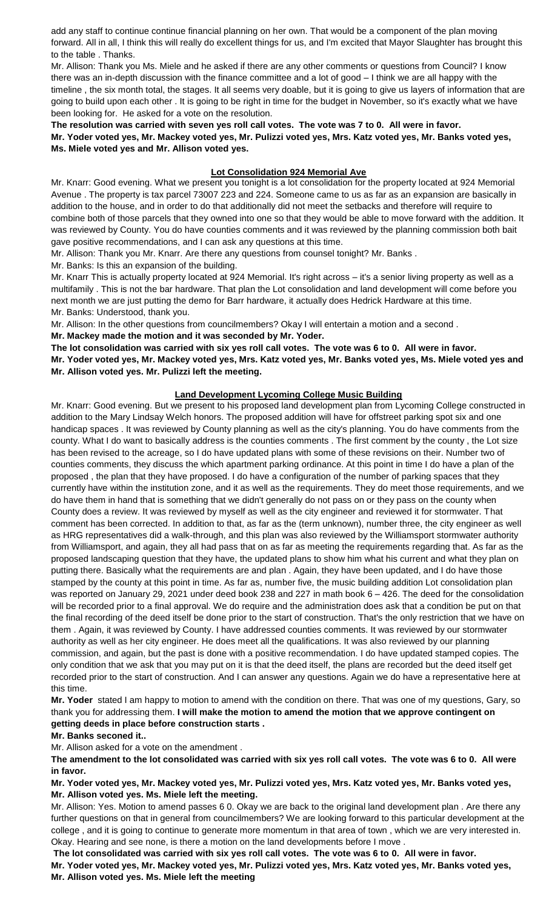add any staff to continue continue financial planning on her own. That would be a component of the plan moving forward. All in all, I think this will really do excellent things for us, and I'm excited that Mayor Slaughter has brought this to the table . Thanks.

Mr. Allison: Thank you Ms. Miele and he asked if there are any other comments or questions from Council? I know there was an in-depth discussion with the finance committee and a lot of good – I think we are all happy with the timeline , the six month total, the stages. It all seems very doable, but it is going to give us layers of information that are going to build upon each other . It is going to be right in time for the budget in November, so it's exactly what we have been looking for. He asked for a vote on the resolution.

**The resolution was carried with seven yes roll call votes. The vote was 7 to 0. All were in favor. Mr. Yoder voted yes, Mr. Mackey voted yes, Mr. Pulizzi voted yes, Mrs. Katz voted yes, Mr. Banks voted yes, Ms. Miele voted yes and Mr. Allison voted yes.**

# **Lot Consolidation 924 Memorial Ave**

Mr. Knarr: Good evening. What we present you tonight is a lot consolidation for the property located at 924 Memorial Avenue . The property is tax parcel 73007 223 and 224. Someone came to us as far as an expansion are basically in addition to the house, and in order to do that additionally did not meet the setbacks and therefore will require to combine both of those parcels that they owned into one so that they would be able to move forward with the addition. It was reviewed by County. You do have counties comments and it was reviewed by the planning commission both bait gave positive recommendations, and I can ask any questions at this time.

Mr. Allison: Thank you Mr. Knarr. Are there any questions from counsel tonight? Mr. Banks .

Mr. Banks: Is this an expansion of the building.

Mr. Knarr This is actually property located at 924 Memorial. It's right across – it's a senior living property as well as a multifamily . This is not the bar hardware. That plan the Lot consolidation and land development will come before you next month we are just putting the demo for Barr hardware, it actually does Hedrick Hardware at this time. Mr. Banks: Understood, thank you.

Mr. Allison: In the other questions from councilmembers? Okay I will entertain a motion and a second .

**Mr. Mackey made the motion and it was seconded by Mr. Yoder.**

**The lot consolidation was carried with six yes roll call votes. The vote was 6 to 0. All were in favor.**

**Mr. Yoder voted yes, Mr. Mackey voted yes, Mrs. Katz voted yes, Mr. Banks voted yes, Ms. Miele voted yes and Mr. Allison voted yes. Mr. Pulizzi left the meeting.**

# **Land Development Lycoming College Music Building**

Mr. Knarr: Good evening. But we present to his proposed land development plan from Lycoming College constructed in addition to the Mary Lindsay Welch honors. The proposed addition will have for offstreet parking spot six and one handicap spaces . It was reviewed by County planning as well as the city's planning. You do have comments from the county. What I do want to basically address is the counties comments . The first comment by the county , the Lot size has been revised to the acreage, so I do have updated plans with some of these revisions on their. Number two of counties comments, they discuss the which apartment parking ordinance. At this point in time I do have a plan of the proposed , the plan that they have proposed. I do have a configuration of the number of parking spaces that they currently have within the institution zone, and it as well as the requirements. They do meet those requirements, and we do have them in hand that is something that we didn't generally do not pass on or they pass on the county when County does a review. It was reviewed by myself as well as the city engineer and reviewed it for stormwater. That comment has been corrected. In addition to that, as far as the (term unknown), number three, the city engineer as well as HRG representatives did a walk-through, and this plan was also reviewed by the Williamsport stormwater authority from Williamsport, and again, they all had pass that on as far as meeting the requirements regarding that. As far as the proposed landscaping question that they have, the updated plans to show him what his current and what they plan on putting there. Basically what the requirements are and plan . Again, they have been updated, and I do have those stamped by the county at this point in time. As far as, number five, the music building addition Lot consolidation plan was reported on January 29, 2021 under deed book 238 and 227 in math book 6 – 426. The deed for the consolidation will be recorded prior to a final approval. We do require and the administration does ask that a condition be put on that the final recording of the deed itself be done prior to the start of construction. That's the only restriction that we have on them . Again, it was reviewed by County. I have addressed counties comments. It was reviewed by our stormwater authority as well as her city engineer. He does meet all the qualifications. It was also reviewed by our planning commission, and again, but the past is done with a positive recommendation. I do have updated stamped copies. The only condition that we ask that you may put on it is that the deed itself, the plans are recorded but the deed itself get recorded prior to the start of construction. And I can answer any questions. Again we do have a representative here at this time.

**Mr. Yoder** stated I am happy to motion to amend with the condition on there. That was one of my questions, Gary, so thank you for addressing them. **I will make the motion to amend the motion that we approve contingent on getting deeds in place before construction starts .** 

### **Mr. Banks seconed it..**

Mr. Allison asked for a vote on the amendment .

**The amendment to the lot consolidated was carried with six yes roll call votes. The vote was 6 to 0. All were in favor.**

**Mr. Yoder voted yes, Mr. Mackey voted yes, Mr. Pulizzi voted yes, Mrs. Katz voted yes, Mr. Banks voted yes, Mr. Allison voted yes. Ms. Miele left the meeting.**

Mr. Allison: Yes. Motion to amend passes 6 0. Okay we are back to the original land development plan . Are there any further questions on that in general from councilmembers? We are looking forward to this particular development at the college , and it is going to continue to generate more momentum in that area of town , which we are very interested in. Okay. Hearing and see none, is there a motion on the land developments before I move .

**The lot consolidated was carried with six yes roll call votes. The vote was 6 to 0. All were in favor.**

**Mr. Yoder voted yes, Mr. Mackey voted yes, Mr. Pulizzi voted yes, Mrs. Katz voted yes, Mr. Banks voted yes, Mr. Allison voted yes. Ms. Miele left the meeting**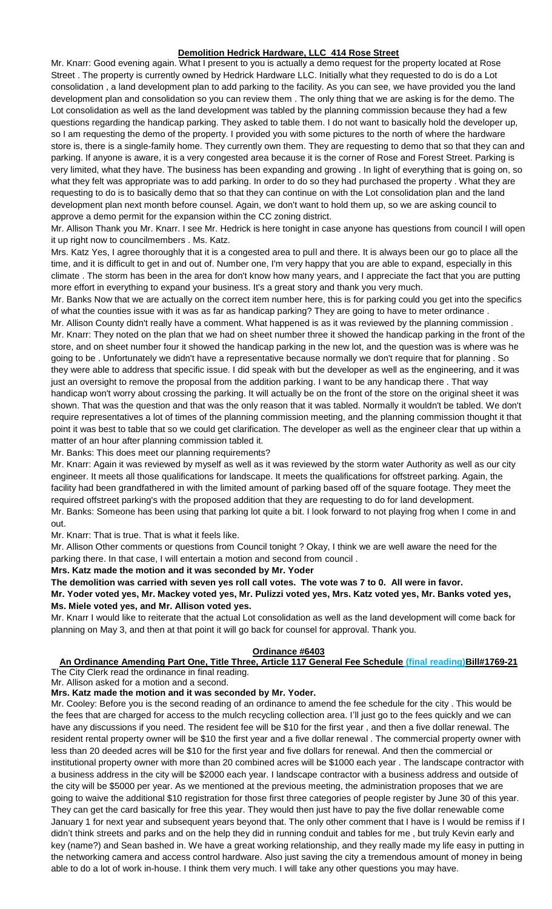# **Demolition Hedrick Hardware, LLC 414 Rose Street**

Mr. Knarr: Good evening again. What I present to you is actually a demo request for the property located at Rose Street . The property is currently owned by Hedrick Hardware LLC. Initially what they requested to do is do a Lot consolidation , a land development plan to add parking to the facility. As you can see, we have provided you the land development plan and consolidation so you can review them . The only thing that we are asking is for the demo. The Lot consolidation as well as the land development was tabled by the planning commission because they had a few questions regarding the handicap parking. They asked to table them. I do not want to basically hold the developer up, so I am requesting the demo of the property. I provided you with some pictures to the north of where the hardware store is, there is a single-family home. They currently own them. They are requesting to demo that so that they can and parking. If anyone is aware, it is a very congested area because it is the corner of Rose and Forest Street. Parking is very limited, what they have. The business has been expanding and growing . In light of everything that is going on, so what they felt was appropriate was to add parking. In order to do so they had purchased the property . What they are requesting to do is to basically demo that so that they can continue on with the Lot consolidation plan and the land development plan next month before counsel. Again, we don't want to hold them up, so we are asking council to approve a demo permit for the expansion within the CC zoning district.

Mr. Allison Thank you Mr. Knarr. I see Mr. Hedrick is here tonight in case anyone has questions from council I will open it up right now to councilmembers . Ms. Katz.

Mrs. Katz Yes, I agree thoroughly that it is a congested area to pull and there. It is always been our go to place all the time, and it is difficult to get in and out of. Number one, I'm very happy that you are able to expand, especially in this climate . The storm has been in the area for don't know how many years, and I appreciate the fact that you are putting more effort in everything to expand your business. It's a great story and thank you very much.

Mr. Banks Now that we are actually on the correct item number here, this is for parking could you get into the specifics of what the counties issue with it was as far as handicap parking? They are going to have to meter ordinance .

Mr. Allison County didn't really have a comment. What happened is as it was reviewed by the planning commission . Mr. Knarr: They noted on the plan that we had on sheet number three it showed the handicap parking in the front of the store, and on sheet number four it showed the handicap parking in the new lot, and the question was is where was he going to be . Unfortunately we didn't have a representative because normally we don't require that for planning . So they were able to address that specific issue. I did speak with but the developer as well as the engineering, and it was just an oversight to remove the proposal from the addition parking. I want to be any handicap there . That way handicap won't worry about crossing the parking. It will actually be on the front of the store on the original sheet it was shown. That was the question and that was the only reason that it was tabled. Normally it wouldn't be tabled. We don't require representatives a lot of times of the planning commission meeting, and the planning commission thought it that point it was best to table that so we could get clarification. The developer as well as the engineer clear that up within a matter of an hour after planning commission tabled it.

Mr. Banks: This does meet our planning requirements?

Mr. Knarr: Again it was reviewed by myself as well as it was reviewed by the storm water Authority as well as our city engineer. It meets all those qualifications for landscape. It meets the qualifications for offstreet parking. Again, the facility had been grandfathered in with the limited amount of parking based off of the square footage. They meet the required offstreet parking's with the proposed addition that they are requesting to do for land development. Mr. Banks: Someone has been using that parking lot quite a bit. I look forward to not playing frog when I come in and out.

Mr. Knarr: That is true. That is what it feels like.

Mr. Allison Other comments or questions from Council tonight ? Okay, I think we are well aware the need for the parking there. In that case, I will entertain a motion and second from council .

**Mrs. Katz made the motion and it was seconded by Mr. Yoder**

**The demolition was carried with seven yes roll call votes. The vote was 7 to 0. All were in favor.**

**Mr. Yoder voted yes, Mr. Mackey voted yes, Mr. Pulizzi voted yes, Mrs. Katz voted yes, Mr. Banks voted yes, Ms. Miele voted yes, and Mr. Allison voted yes.**

Mr. Knarr I would like to reiterate that the actual Lot consolidation as well as the land development will come back for planning on May 3, and then at that point it will go back for counsel for approval. Thank you.

#### **Ordinance #6403**

**An Ordinance Amending Part One, Title Three, Article 117 General Fee Schedule (final reading)Bill#1769-21** The City Clerk read the ordinance in final reading.

Mr. Allison asked for a motion and a second.

### **Mrs. Katz made the motion and it was seconded by Mr. Yoder.**

Mr. Cooley: Before you is the second reading of an ordinance to amend the fee schedule for the city . This would be the fees that are charged for access to the mulch recycling collection area. I'll just go to the fees quickly and we can have any discussions if you need. The resident fee will be \$10 for the first year , and then a five dollar renewal. The resident rental property owner will be \$10 the first year and a five dollar renewal . The commercial property owner with less than 20 deeded acres will be \$10 for the first year and five dollars for renewal. And then the commercial or institutional property owner with more than 20 combined acres will be \$1000 each year . The landscape contractor with a business address in the city will be \$2000 each year. I landscape contractor with a business address and outside of the city will be \$5000 per year. As we mentioned at the previous meeting, the administration proposes that we are going to waive the additional \$10 registration for those first three categories of people register by June 30 of this year. They can get the card basically for free this year. They would then just have to pay the five dollar renewable come January 1 for next year and subsequent years beyond that. The only other comment that I have is I would be remiss if I didn't think streets and parks and on the help they did in running conduit and tables for me , but truly Kevin early and key (name?) and Sean bashed in. We have a great working relationship, and they really made my life easy in putting in the networking camera and access control hardware. Also just saving the city a tremendous amount of money in being able to do a lot of work in-house. I think them very much. I will take any other questions you may have.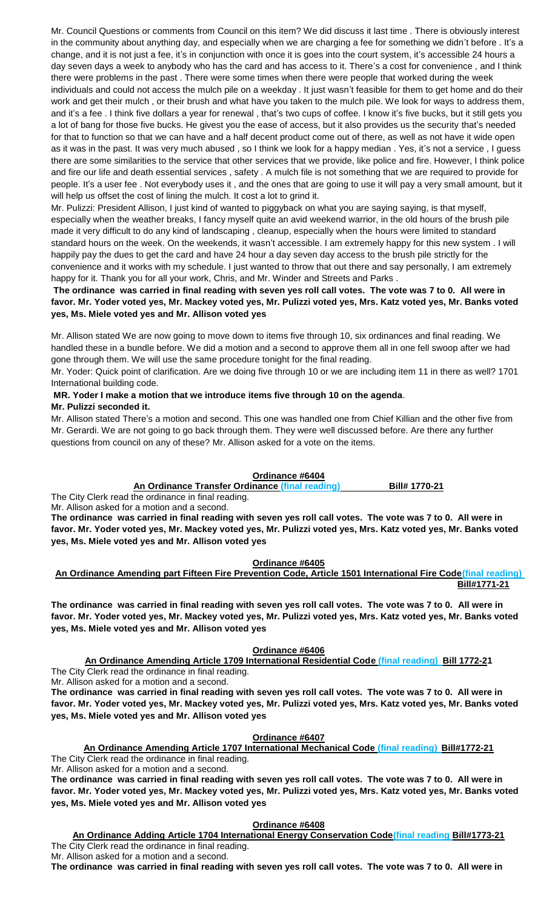Mr. Council Questions or comments from Council on this item? We did discuss it last time . There is obviously interest in the community about anything day, and especially when we are charging a fee for something we didn't before . It's a change, and it is not just a fee, it's in conjunction with once it is goes into the court system, it's accessible 24 hours a day seven days a week to anybody who has the card and has access to it. There's a cost for convenience , and I think there were problems in the past . There were some times when there were people that worked during the week individuals and could not access the mulch pile on a weekday . It just wasn't feasible for them to get home and do their work and get their mulch , or their brush and what have you taken to the mulch pile. We look for ways to address them, and it's a fee . I think five dollars a year for renewal , that's two cups of coffee. I know it's five bucks, but it still gets you a lot of bang for those five bucks. He givest you the ease of access, but it also provides us the security that's needed for that to function so that we can have and a half decent product come out of there, as well as not have it wide open as it was in the past. It was very much abused , so I think we look for a happy median . Yes, it's not a service , I guess there are some similarities to the service that other services that we provide, like police and fire. However, I think police and fire our life and death essential services , safety . A mulch file is not something that we are required to provide for people. It's a user fee . Not everybody uses it , and the ones that are going to use it will pay a very small amount, but it will help us offset the cost of lining the mulch. It cost a lot to grind it.

Mr. Pulizzi: President Allison, I just kind of wanted to piggyback on what you are saying saying, is that myself, especially when the weather breaks, I fancy myself quite an avid weekend warrior, in the old hours of the brush pile made it very difficult to do any kind of landscaping , cleanup, especially when the hours were limited to standard standard hours on the week. On the weekends, it wasn't accessible. I am extremely happy for this new system . I will happily pay the dues to get the card and have 24 hour a day seven day access to the brush pile strictly for the convenience and it works with my schedule. I just wanted to throw that out there and say personally, I am extremely happy for it. Thank you for all your work, Chris, and Mr. Winder and Streets and Parks .

## **The ordinance was carried in final reading with seven yes roll call votes. The vote was 7 to 0. All were in favor. Mr. Yoder voted yes, Mr. Mackey voted yes, Mr. Pulizzi voted yes, Mrs. Katz voted yes, Mr. Banks voted yes, Ms. Miele voted yes and Mr. Allison voted yes**

Mr. Allison stated We are now going to move down to items five through 10, six ordinances and final reading. We handled these in a bundle before. We did a motion and a second to approve them all in one fell swoop after we had gone through them. We will use the same procedure tonight for the final reading.

Mr. Yoder: Quick point of clarification. Are we doing five through 10 or we are including item 11 in there as well? 1701 International building code.

### **MR. Yoder I make a motion that we introduce items five through 10 on the agenda**. **Mr. Pulizzi seconded it.**

Mr. Allison stated There's a motion and second. This one was handled one from Chief Killian and the other five from Mr. Gerardi. We are not going to go back through them. They were well discussed before. Are there any further questions from council on any of these? Mr. Allison asked for a vote on the items.

# **Ordinance #6404**

**An Ordinance Transfer Ordinance (final reading) Bill# 1770-21**

The City Clerk read the ordinance in final reading.

Mr. Allison asked for a motion and a second.

**The ordinance was carried in final reading with seven yes roll call votes. The vote was 7 to 0. All were in favor. Mr. Yoder voted yes, Mr. Mackey voted yes, Mr. Pulizzi voted yes, Mrs. Katz voted yes, Mr. Banks voted yes, Ms. Miele voted yes and Mr. Allison voted yes**

**Ordinance #6405**

**An Ordinance Amending part Fifteen Fire Prevention Code, Article 1501 International Fire Code(final reading) Bill#1771-21**

**The ordinance was carried in final reading with seven yes roll call votes. The vote was 7 to 0. All were in favor. Mr. Yoder voted yes, Mr. Mackey voted yes, Mr. Pulizzi voted yes, Mrs. Katz voted yes, Mr. Banks voted yes, Ms. Miele voted yes and Mr. Allison voted yes**

# **Ordinance #6406**

**An Ordinance Amending Article 1709 International Residential Code (final reading) Bill 1772-21** The City Clerk read the ordinance in final reading.

Mr. Allison asked for a motion and a second.

**The ordinance was carried in final reading with seven yes roll call votes. The vote was 7 to 0. All were in favor. Mr. Yoder voted yes, Mr. Mackey voted yes, Mr. Pulizzi voted yes, Mrs. Katz voted yes, Mr. Banks voted yes, Ms. Miele voted yes and Mr. Allison voted yes**

**Ordinance #6407**

**An Ordinance Amending Article 1707 International Mechanical Code (final reading) Bill#1772-21** The City Clerk read the ordinance in final reading.

Mr. Allison asked for a motion and a second.

**The ordinance was carried in final reading with seven yes roll call votes. The vote was 7 to 0. All were in favor. Mr. Yoder voted yes, Mr. Mackey voted yes, Mr. Pulizzi voted yes, Mrs. Katz voted yes, Mr. Banks voted yes, Ms. Miele voted yes and Mr. Allison voted yes**

**Ordinance #6408**

**An Ordinance Adding Article 1704 International Energy Conservation Code(final reading Bill#1773-21** The City Clerk read the ordinance in final reading.

Mr. Allison asked for a motion and a second. **The ordinance was carried in final reading with seven yes roll call votes. The vote was 7 to 0. All were in**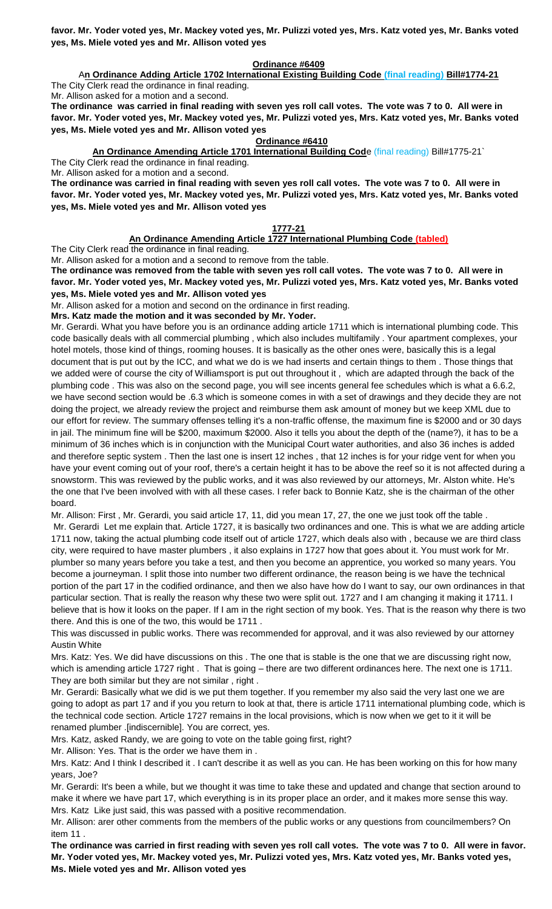**favor. Mr. Yoder voted yes, Mr. Mackey voted yes, Mr. Pulizzi voted yes, Mrs. Katz voted yes, Mr. Banks voted yes, Ms. Miele voted yes and Mr. Allison voted yes**

### **Ordinance #6409**

A**n Ordinance Adding Article 1702 International Existing Building Code (final reading) Bill#1774-21** The City Clerk read the ordinance in final reading.

Mr. Allison asked for a motion and a second.

**The ordinance was carried in final reading with seven yes roll call votes. The vote was 7 to 0. All were in favor. Mr. Yoder voted yes, Mr. Mackey voted yes, Mr. Pulizzi voted yes, Mrs. Katz voted yes, Mr. Banks voted yes, Ms. Miele voted yes and Mr. Allison voted yes**

### **Ordinance #6410**

**An Ordinance Amending Article 1701 International Building Cod**e (final reading) Bill#1775-21`

The City Clerk read the ordinance in final reading.

Mr. Allison asked for a motion and a second.

**The ordinance was carried in final reading with seven yes roll call votes. The vote was 7 to 0. All were in favor. Mr. Yoder voted yes, Mr. Mackey voted yes, Mr. Pulizzi voted yes, Mrs. Katz voted yes, Mr. Banks voted yes, Ms. Miele voted yes and Mr. Allison voted yes**

# **1777-21**

# **An Ordinance Amending Article 1727 International Plumbing Code (tabled)**

The City Clerk read the ordinance in final reading.

Mr. Allison asked for a motion and a second to remove from the table.

**The ordinance was removed from the table with seven yes roll call votes. The vote was 7 to 0. All were in favor. Mr. Yoder voted yes, Mr. Mackey voted yes, Mr. Pulizzi voted yes, Mrs. Katz voted yes, Mr. Banks voted yes, Ms. Miele voted yes and Mr. Allison voted yes**

Mr. Allison asked for a motion and second on the ordinance in first reading.

**Mrs. Katz made the motion and it was seconded by Mr. Yoder.**

Mr. Gerardi. What you have before you is an ordinance adding article 1711 which is international plumbing code. This code basically deals with all commercial plumbing , which also includes multifamily . Your apartment complexes, your hotel motels, those kind of things, rooming houses. It is basically as the other ones were, basically this is a legal document that is put out by the ICC, and what we do is we had inserts and certain things to them . Those things that we added were of course the city of Williamsport is put out throughout it , which are adapted through the back of the plumbing code . This was also on the second page, you will see incents general fee schedules which is what a 6.6.2, we have second section would be .6.3 which is someone comes in with a set of drawings and they decide they are not doing the project, we already review the project and reimburse them ask amount of money but we keep XML due to our effort for review. The summary offenses telling it's a non-traffic offense, the maximum fine is \$2000 and or 30 days in jail. The minimum fine will be \$200, maximum \$2000. Also it tells you about the depth of the (name?), it has to be a minimum of 36 inches which is in conjunction with the Municipal Court water authorities, and also 36 inches is added and therefore septic system . Then the last one is insert 12 inches , that 12 inches is for your ridge vent for when you have your event coming out of your roof, there's a certain height it has to be above the reef so it is not affected during a snowstorm. This was reviewed by the public works, and it was also reviewed by our attorneys, Mr. Alston white. He's the one that I've been involved with with all these cases. I refer back to Bonnie Katz, she is the chairman of the other board.

Mr. Allison: First , Mr. Gerardi, you said article 17, 11, did you mean 17, 27, the one we just took off the table .

Mr. Gerardi Let me explain that. Article 1727, it is basically two ordinances and one. This is what we are adding article 1711 now, taking the actual plumbing code itself out of article 1727, which deals also with , because we are third class city, were required to have master plumbers , it also explains in 1727 how that goes about it. You must work for Mr. plumber so many years before you take a test, and then you become an apprentice, you worked so many years. You become a journeyman. I split those into number two different ordinance, the reason being is we have the technical portion of the part 17 in the codified ordinance, and then we also have how do I want to say, our own ordinances in that particular section. That is really the reason why these two were split out. 1727 and I am changing it making it 1711. I believe that is how it looks on the paper. If I am in the right section of my book. Yes. That is the reason why there is two there. And this is one of the two, this would be 1711 .

This was discussed in public works. There was recommended for approval, and it was also reviewed by our attorney Austin White

Mrs. Katz: Yes. We did have discussions on this . The one that is stable is the one that we are discussing right now, which is amending article 1727 right. That is going – there are two different ordinances here. The next one is 1711. They are both similar but they are not similar , right .

Mr. Gerardi: Basically what we did is we put them together. If you remember my also said the very last one we are going to adopt as part 17 and if you you return to look at that, there is article 1711 international plumbing code, which is the technical code section. Article 1727 remains in the local provisions, which is now when we get to it it will be renamed plumber .[indiscernible]. You are correct, yes.

Mrs. Katz, asked Randy, we are going to vote on the table going first, right?

Mr. Allison: Yes. That is the order we have them in .

Mrs. Katz: And I think I described it . I can't describe it as well as you can. He has been working on this for how many years, Joe?

Mr. Gerardi: It's been a while, but we thought it was time to take these and updated and change that section around to make it where we have part 17, which everything is in its proper place an order, and it makes more sense this way. Mrs. Katz Like just said, this was passed with a positive recommendation.

Mr. Allison: arer other comments from the members of the public works or any questions from councilmembers? On item 11

**The ordinance was carried in first reading with seven yes roll call votes. The vote was 7 to 0. All were in favor. Mr. Yoder voted yes, Mr. Mackey voted yes, Mr. Pulizzi voted yes, Mrs. Katz voted yes, Mr. Banks voted yes, Ms. Miele voted yes and Mr. Allison voted yes**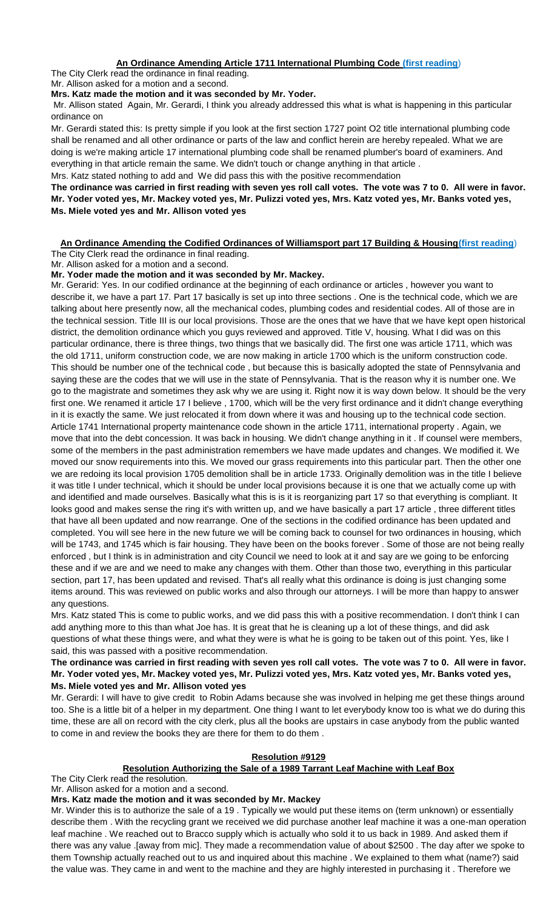# **An Ordinance Amending Article 1711 International Plumbing Code (first reading**)

The City Clerk read the ordinance in final reading.

Mr. Allison asked for a motion and a second.

### **Mrs. Katz made the motion and it was seconded by Mr. Yoder.**

Mr. Allison stated Again, Mr. Gerardi, I think you already addressed this what is what is happening in this particular ordinance on

Mr. Gerardi stated this: Is pretty simple if you look at the first section 1727 point O2 title international plumbing code shall be renamed and all other ordinance or parts of the law and conflict herein are hereby repealed. What we are doing is we're making article 17 international plumbing code shall be renamed plumber's board of examiners. And everything in that article remain the same. We didn't touch or change anything in that article .

Mrs. Katz stated nothing to add and We did pass this with the positive recommendation

**The ordinance was carried in first reading with seven yes roll call votes. The vote was 7 to 0. All were in favor. Mr. Yoder voted yes, Mr. Mackey voted yes, Mr. Pulizzi voted yes, Mrs. Katz voted yes, Mr. Banks voted yes, Ms. Miele voted yes and Mr. Allison voted yes**

#### **An Ordinance Amending the Codified Ordinances of Williamsport part 17 Building & Housing(first reading**) The City Clerk read the ordinance in final reading.

Mr. Allison asked for a motion and a second.

### **Mr. Yoder made the motion and it was seconded by Mr. Mackey.**

Mr. Gerarid: Yes. In our codified ordinance at the beginning of each ordinance or articles , however you want to describe it, we have a part 17. Part 17 basically is set up into three sections . One is the technical code, which we are talking about here presently now, all the mechanical codes, plumbing codes and residential codes. All of those are in the technical session. Title III is our local provisions. Those are the ones that we have that we have kept open historical district, the demolition ordinance which you guys reviewed and approved. Title V, housing. What I did was on this particular ordinance, there is three things, two things that we basically did. The first one was article 1711, which was the old 1711, uniform construction code, we are now making in article 1700 which is the uniform construction code. This should be number one of the technical code , but because this is basically adopted the state of Pennsylvania and saying these are the codes that we will use in the state of Pennsylvania. That is the reason why it is number one. We go to the magistrate and sometimes they ask why we are using it. Right now it is way down below. It should be the very first one. We renamed it article 17 I believe , 1700, which will be the very first ordinance and it didn't change everything in it is exactly the same. We just relocated it from down where it was and housing up to the technical code section. Article 1741 International property maintenance code shown in the article 1711, international property . Again, we move that into the debt concession. It was back in housing. We didn't change anything in it . If counsel were members, some of the members in the past administration remembers we have made updates and changes. We modified it. We moved our snow requirements into this. We moved our grass requirements into this particular part. Then the other one we are redoing its local provision 1705 demolition shall be in article 1733. Originally demolition was in the title I believe it was title I under technical, which it should be under local provisions because it is one that we actually come up with and identified and made ourselves. Basically what this is is it is reorganizing part 17 so that everything is compliant. It looks good and makes sense the ring it's with written up, and we have basically a part 17 article , three different titles that have all been updated and now rearrange. One of the sections in the codified ordinance has been updated and completed. You will see here in the new future we will be coming back to counsel for two ordinances in housing, which will be 1743, and 1745 which is fair housing. They have been on the books forever . Some of those are not being really enforced , but I think is in administration and city Council we need to look at it and say are we going to be enforcing these and if we are and we need to make any changes with them. Other than those two, everything in this particular section, part 17, has been updated and revised. That's all really what this ordinance is doing is just changing some items around. This was reviewed on public works and also through our attorneys. I will be more than happy to answer any questions.

Mrs. Katz stated This is come to public works, and we did pass this with a positive recommendation. I don't think I can add anything more to this than what Joe has. It is great that he is cleaning up a lot of these things, and did ask questions of what these things were, and what they were is what he is going to be taken out of this point. Yes, like I said, this was passed with a positive recommendation.

**The ordinance was carried in first reading with seven yes roll call votes. The vote was 7 to 0. All were in favor. Mr. Yoder voted yes, Mr. Mackey voted yes, Mr. Pulizzi voted yes, Mrs. Katz voted yes, Mr. Banks voted yes, Ms. Miele voted yes and Mr. Allison voted yes**

Mr. Gerardi: I will have to give credit to Robin Adams because she was involved in helping me get these things around too. She is a little bit of a helper in my department. One thing I want to let everybody know too is what we do during this time, these are all on record with the city clerk, plus all the books are upstairs in case anybody from the public wanted to come in and review the books they are there for them to do them .

# **Resolution #9129**

# **Resolution Authorizing the Sale of a 1989 Tarrant Leaf Machine with Leaf Box**

The City Clerk read the resolution.

Mr. Allison asked for a motion and a second.

### **Mrs. Katz made the motion and it was seconded by Mr. Mackey**

Mr. Winder this is to authorize the sale of a 19 . Typically we would put these items on (term unknown) or essentially describe them . With the recycling grant we received we did purchase another leaf machine it was a one-man operation leaf machine . We reached out to Bracco supply which is actually who sold it to us back in 1989. And asked them if there was any value .[away from mic]. They made a recommendation value of about \$2500 . The day after we spoke to them Township actually reached out to us and inquired about this machine . We explained to them what (name?) said the value was. They came in and went to the machine and they are highly interested in purchasing it . Therefore we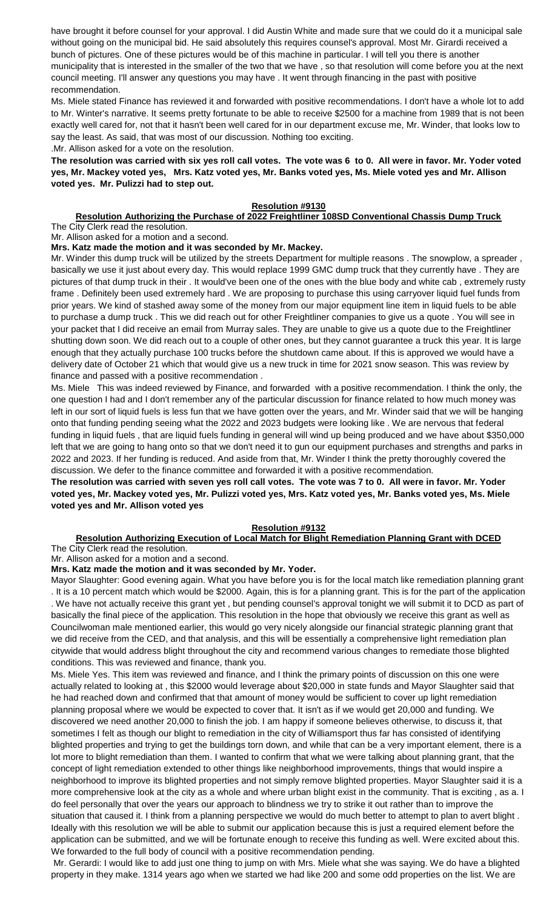have brought it before counsel for your approval. I did Austin White and made sure that we could do it a municipal sale without going on the municipal bid. He said absolutely this requires counsel's approval. Most Mr. Girardi received a bunch of pictures. One of these pictures would be of this machine in particular. I will tell you there is another municipality that is interested in the smaller of the two that we have , so that resolution will come before you at the next council meeting. I'll answer any questions you may have . It went through financing in the past with positive recommendation.

Ms. Miele stated Finance has reviewed it and forwarded with positive recommendations. I don't have a whole lot to add to Mr. Winter's narrative. It seems pretty fortunate to be able to receive \$2500 for a machine from 1989 that is not been exactly well cared for, not that it hasn't been well cared for in our department excuse me, Mr. Winder, that looks low to say the least. As said, that was most of our discussion. Nothing too exciting.

.Mr. Allison asked for a vote on the resolution.

**The resolution was carried with six yes roll call votes. The vote was 6 to 0. All were in favor. Mr. Yoder voted yes, Mr. Mackey voted yes, Mrs. Katz voted yes, Mr. Banks voted yes, Ms. Miele voted yes and Mr. Allison voted yes. Mr. Pulizzi had to step out.**

### **Resolution #9130**

#### **Resolution Authorizing the Purchase of 2022 Freightliner 108SD Conventional Chassis Dump Truck** The City Clerk read the resolution.

Mr. Allison asked for a motion and a second.

## **Mrs. Katz made the motion and it was seconded by Mr. Mackey.**

Mr. Winder this dump truck will be utilized by the streets Department for multiple reasons . The snowplow, a spreader , basically we use it just about every day. This would replace 1999 GMC dump truck that they currently have . They are pictures of that dump truck in their . It would've been one of the ones with the blue body and white cab , extremely rusty frame . Definitely been used extremely hard . We are proposing to purchase this using carryover liquid fuel funds from prior years. We kind of stashed away some of the money from our major equipment line item in liquid fuels to be able to purchase a dump truck . This we did reach out for other Freightliner companies to give us a quote . You will see in your packet that I did receive an email from Murray sales. They are unable to give us a quote due to the Freightliner shutting down soon. We did reach out to a couple of other ones, but they cannot guarantee a truck this year. It is large enough that they actually purchase 100 trucks before the shutdown came about. If this is approved we would have a delivery date of October 21 which that would give us a new truck in time for 2021 snow season. This was review by finance and passed with a positive recommendation .

Ms. Miele This was indeed reviewed by Finance, and forwarded with a positive recommendation. I think the only, the one question I had and I don't remember any of the particular discussion for finance related to how much money was left in our sort of liquid fuels is less fun that we have gotten over the years, and Mr. Winder said that we will be hanging onto that funding pending seeing what the 2022 and 2023 budgets were looking like . We are nervous that federal funding in liquid fuels , that are liquid fuels funding in general will wind up being produced and we have about \$350,000 left that we are going to hang onto so that we don't need it to gun our equipment purchases and strengths and parks in 2022 and 2023. If her funding is reduced. And aside from that, Mr. Winder I think the pretty thoroughly covered the discussion. We defer to the finance committee and forwarded it with a positive recommendation.

## **The resolution was carried with seven yes roll call votes. The vote was 7 to 0. All were in favor. Mr. Yoder voted yes, Mr. Mackey voted yes, Mr. Pulizzi voted yes, Mrs. Katz voted yes, Mr. Banks voted yes, Ms. Miele voted yes and Mr. Allison voted yes**

### **Resolution #9132**

#### **Resolution Authorizing Execution of Local Match for Blight Remediation Planning Grant with DCED** The City Clerk read the resolution.

Mr. Allison asked for a motion and a second.

### **Mrs. Katz made the motion and it was seconded by Mr. Yoder.**

Mayor Slaughter: Good evening again. What you have before you is for the local match like remediation planning grant . It is a 10 percent match which would be \$2000. Again, this is for a planning grant. This is for the part of the application . We have not actually receive this grant yet , but pending counsel's approval tonight we will submit it to DCD as part of basically the final piece of the application. This resolution in the hope that obviously we receive this grant as well as Councilwoman male mentioned earlier, this would go very nicely alongside our financial strategic planning grant that we did receive from the CED, and that analysis, and this will be essentially a comprehensive light remediation plan citywide that would address blight throughout the city and recommend various changes to remediate those blighted conditions. This was reviewed and finance, thank you.

Ms. Miele Yes. This item was reviewed and finance, and I think the primary points of discussion on this one were actually related to looking at , this \$2000 would leverage about \$20,000 in state funds and Mayor Slaughter said that he had reached down and confirmed that that amount of money would be sufficient to cover up light remediation planning proposal where we would be expected to cover that. It isn't as if we would get 20,000 and funding. We discovered we need another 20,000 to finish the job. I am happy if someone believes otherwise, to discuss it, that sometimes I felt as though our blight to remediation in the city of Williamsport thus far has consisted of identifying blighted properties and trying to get the buildings torn down, and while that can be a very important element, there is a lot more to blight remediation than them. I wanted to confirm that what we were talking about planning grant, that the concept of light remediation extended to other things like neighborhood improvements, things that would inspire a neighborhood to improve its blighted properties and not simply remove blighted properties. Mayor Slaughter said it is a more comprehensive look at the city as a whole and where urban blight exist in the community. That is exciting , as a. I do feel personally that over the years our approach to blindness we try to strike it out rather than to improve the situation that caused it. I think from a planning perspective we would do much better to attempt to plan to avert blight . Ideally with this resolution we will be able to submit our application because this is just a required element before the application can be submitted, and we will be fortunate enough to receive this funding as well. Were excited about this. We forwarded to the full body of council with a positive recommendation pending.

Mr. Gerardi: I would like to add just one thing to jump on with Mrs. Miele what she was saying. We do have a blighted property in they make. 1314 years ago when we started we had like 200 and some odd properties on the list. We are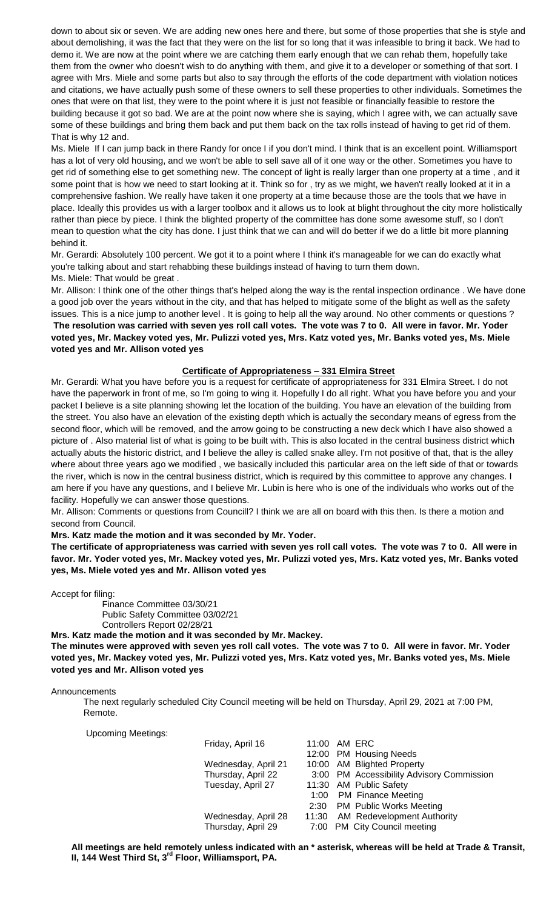down to about six or seven. We are adding new ones here and there, but some of those properties that she is style and about demolishing, it was the fact that they were on the list for so long that it was infeasible to bring it back. We had to demo it. We are now at the point where we are catching them early enough that we can rehab them, hopefully take them from the owner who doesn't wish to do anything with them, and give it to a developer or something of that sort. I agree with Mrs. Miele and some parts but also to say through the efforts of the code department with violation notices and citations, we have actually push some of these owners to sell these properties to other individuals. Sometimes the ones that were on that list, they were to the point where it is just not feasible or financially feasible to restore the building because it got so bad. We are at the point now where she is saying, which I agree with, we can actually save some of these buildings and bring them back and put them back on the tax rolls instead of having to get rid of them. That is why 12 and.

Ms. Miele If I can jump back in there Randy for once I if you don't mind. I think that is an excellent point. Williamsport has a lot of very old housing, and we won't be able to sell save all of it one way or the other. Sometimes you have to get rid of something else to get something new. The concept of light is really larger than one property at a time , and it some point that is how we need to start looking at it. Think so for , try as we might, we haven't really looked at it in a comprehensive fashion. We really have taken it one property at a time because those are the tools that we have in place. Ideally this provides us with a larger toolbox and it allows us to look at blight throughout the city more holistically rather than piece by piece. I think the blighted property of the committee has done some awesome stuff, so I don't mean to question what the city has done. I just think that we can and will do better if we do a little bit more planning behind it.

Mr. Gerardi: Absolutely 100 percent. We got it to a point where I think it's manageable for we can do exactly what you're talking about and start rehabbing these buildings instead of having to turn them down.

Ms. Miele: That would be great . Mr. Allison: I think one of the other things that's helped along the way is the rental inspection ordinance . We have done

a good job over the years without in the city, and that has helped to mitigate some of the blight as well as the safety issues. This is a nice jump to another level . It is going to help all the way around. No other comments or questions ? **The resolution was carried with seven yes roll call votes. The vote was 7 to 0. All were in favor. Mr. Yoder voted yes, Mr. Mackey voted yes, Mr. Pulizzi voted yes, Mrs. Katz voted yes, Mr. Banks voted yes, Ms. Miele voted yes and Mr. Allison voted yes**

### **Certificate of Appropriateness – 331 Elmira Street**

Mr. Gerardi: What you have before you is a request for certificate of appropriateness for 331 Elmira Street. I do not have the paperwork in front of me, so I'm going to wing it. Hopefully I do all right. What you have before you and your packet I believe is a site planning showing let the location of the building. You have an elevation of the building from the street. You also have an elevation of the existing depth which is actually the secondary means of egress from the second floor, which will be removed, and the arrow going to be constructing a new deck which I have also showed a picture of . Also material list of what is going to be built with. This is also located in the central business district which actually abuts the historic district, and I believe the alley is called snake alley. I'm not positive of that, that is the alley where about three years ago we modified , we basically included this particular area on the left side of that or towards the river, which is now in the central business district, which is required by this committee to approve any changes. I am here if you have any questions, and I believe Mr. Lubin is here who is one of the individuals who works out of the facility. Hopefully we can answer those questions.

Mr. Allison: Comments or questions from Councill? I think we are all on board with this then. Is there a motion and second from Council.

**Mrs. Katz made the motion and it was seconded by Mr. Yoder.**

**The certificate of appropriateness was carried with seven yes roll call votes. The vote was 7 to 0. All were in favor. Mr. Yoder voted yes, Mr. Mackey voted yes, Mr. Pulizzi voted yes, Mrs. Katz voted yes, Mr. Banks voted yes, Ms. Miele voted yes and Mr. Allison voted yes**

Accept for filing:

Finance Committee 03/30/21 Public Safety Committee 03/02/21 Controllers Report 02/28/21

**Mrs. Katz made the motion and it was seconded by Mr. Mackey.**

**The minutes were approved with seven yes roll call votes. The vote was 7 to 0. All were in favor. Mr. Yoder voted yes, Mr. Mackey voted yes, Mr. Pulizzi voted yes, Mrs. Katz voted yes, Mr. Banks voted yes, Ms. Miele voted yes and Mr. Allison voted yes**

**Announcements** 

The next regularly scheduled City Council meeting will be held on Thursday, April 29, 2021 at 7:00 PM, Remote.

Upcoming Meetings:

| Friday, April 16    | 11:00 AM ERC                              |
|---------------------|-------------------------------------------|
|                     | 12:00 PM Housing Needs                    |
| Wednesday, April 21 | 10:00 AM Blighted Property                |
| Thursday, April 22  | 3:00 PM Accessibility Advisory Commission |
| Tuesday, April 27   | 11:30 AM Public Safety                    |
|                     | 1:00 PM Finance Meeting                   |
|                     | 2:30 PM Public Works Meeting              |
| Wednesday, April 28 | 11:30 AM Redevelopment Authority          |
| Thursday, April 29  | 7:00 PM City Council meeting              |

**All meetings are held remotely unless indicated with an \* asterisk, whereas will be held at Trade & Transit, II, 144 West Third St, 3rd Floor, Williamsport, PA.**